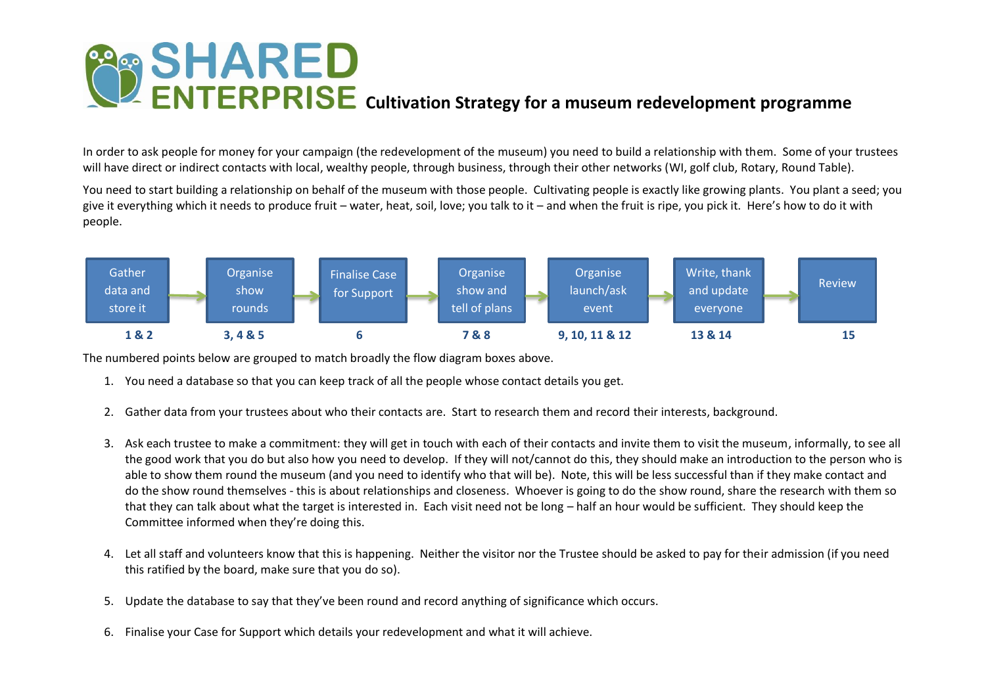## **SHARED**<br> **ENTERPRISE** cultivation Strategy for a museum redevelopment programme

In order to ask people for money for your campaign (the redevelopment of the museum) you need to build a relationship with them. Some of your trustees will have direct or indirect contacts with local, wealthy people, through business, through their other networks (WI, golf club, Rotary, Round Table).

You need to start building a relationship on behalf of the museum with those people. Cultivating people is exactly like growing plants. You plant a seed; you give it everything which it needs to produce fruit – water, heat, soil, love; you talk to it – and when the fruit is ripe, you pick it. Here's how to do it with people.



The numbered points below are grouped to match broadly the flow diagram boxes above.

- 1. You need a database so that you can keep track of all the people whose contact details you get.
- 2. Gather data from your trustees about who their contacts are. Start to research them and record their interests, background.
- 3. Ask each trustee to make a commitment: they will get in touch with each of their contacts and invite them to visit the museum, informally, to see all the good work that you do but also how you need to develop. If they will not/cannot do this, they should make an introduction to the person who is able to show them round the museum (and you need to identify who that will be). Note, this will be less successful than if they make contact and do the show round themselves - this is about relationships and closeness. Whoever is going to do the show round, share the research with them so that they can talk about what the target is interested in. Each visit need not be long – half an hour would be sufficient. They should keep the Committee informed when they're doing this.
- 4. Let all staff and volunteers know that this is happening. Neither the visitor nor the Trustee should be asked to pay for their admission (if you need this ratified by the board, make sure that you do so).
- 5. Update the database to say that they've been round and record anything of significance which occurs.
- 6. Finalise your Case for Support which details your redevelopment and what it will achieve.